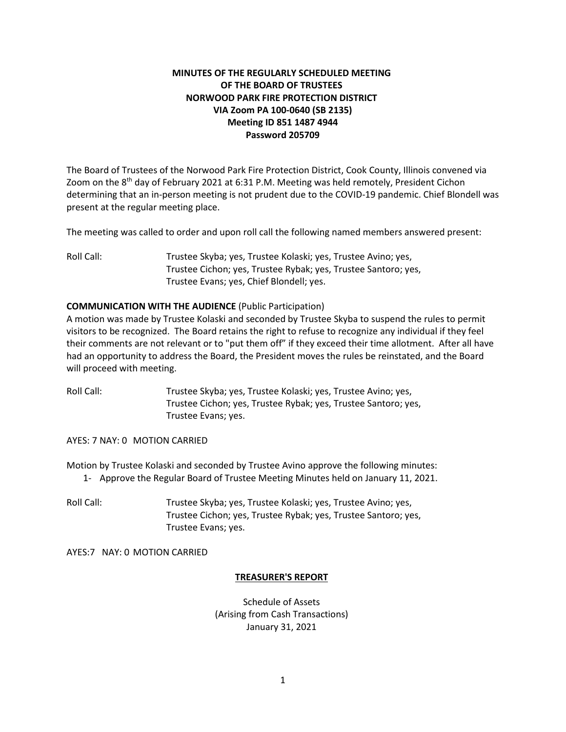# **MINUTES OF THE REGULARLY SCHEDULED MEETING OF THE BOARD OF TRUSTEES NORWOOD PARK FIRE PROTECTION DISTRICT VIA Zoom PA 100-0640 (SB 2135) Meeting ID 851 1487 4944 Password 205709**

The Board of Trustees of the Norwood Park Fire Protection District, Cook County, Illinois convened via Zoom on the  $8<sup>th</sup>$  day of February 2021 at 6:31 P.M. Meeting was held remotely, President Cichon determining that an in-person meeting is not prudent due to the COVID-19 pandemic. Chief Blondell was present at the regular meeting place.

The meeting was called to order and upon roll call the following named members answered present:

Roll Call: Trustee Skyba; yes, Trustee Kolaski; yes, Trustee Avino; yes, Trustee Cichon; yes, Trustee Rybak; yes, Trustee Santoro; yes, Trustee Evans; yes, Chief Blondell; yes.

## **COMMUNICATION WITH THE AUDIENCE** (Public Participation)

A motion was made by Trustee Kolaski and seconded by Trustee Skyba to suspend the rules to permit visitors to be recognized. The Board retains the right to refuse to recognize any individual if they feel their comments are not relevant or to "put them off" if they exceed their time allotment. After all have had an opportunity to address the Board, the President moves the rules be reinstated, and the Board will proceed with meeting.

Roll Call: Trustee Skyba; yes, Trustee Kolaski; yes, Trustee Avino; yes, Trustee Cichon; yes, Trustee Rybak; yes, Trustee Santoro; yes, Trustee Evans; yes.

AYES: 7 NAY: 0 MOTION CARRIED

Motion by Trustee Kolaski and seconded by Trustee Avino approve the following minutes:

- 1- Approve the Regular Board of Trustee Meeting Minutes held on January 11, 2021.
- Roll Call: Trustee Skyba; yes, Trustee Kolaski; yes, Trustee Avino; yes, Trustee Cichon; yes, Trustee Rybak; yes, Trustee Santoro; yes, Trustee Evans; yes.

AYES:7 NAY: 0 MOTION CARRIED

### **TREASURER'S REPORT**

Schedule of Assets (Arising from Cash Transactions) January 31, 2021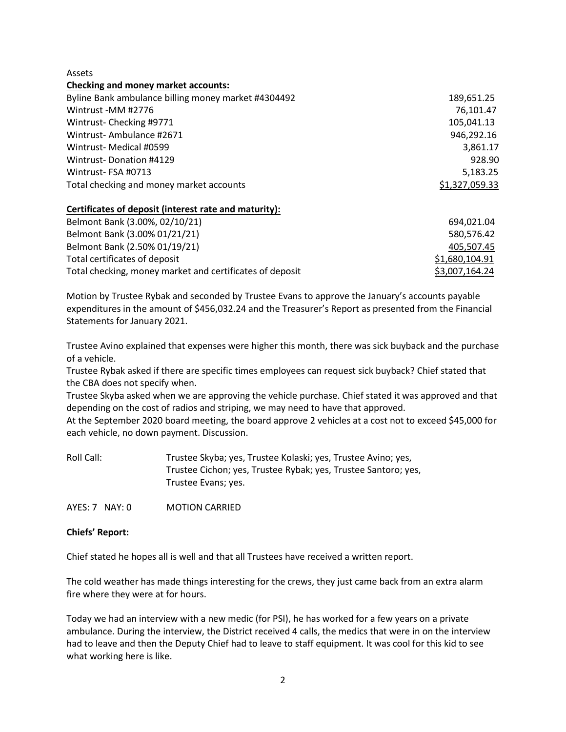Assets

#### **Checking and money market accounts:**

| Byline Bank ambulance billing money market #4304492 | 189,651.25     |
|-----------------------------------------------------|----------------|
| Wintrust -MM #2776                                  | 76,101.47      |
| Wintrust-Checking #9771                             | 105,041.13     |
| Wintrust-Ambulance #2671                            | 946,292.16     |
| Wintrust-Medical #0599                              | 3,861.17       |
| <b>Wintrust-Donation #4129</b>                      | 928.90         |
| Wintrust-FSA #0713                                  | 5,183.25       |
| Total checking and money market accounts            | \$1,327,059.33 |
|                                                     |                |

#### **Certificates of deposit (interest rate and maturity):**

| Belmont Bank (3.00%, 02/10/21)                           | 694.021.04     |
|----------------------------------------------------------|----------------|
| Belmont Bank (3.00% 01/21/21)                            | 580.576.42     |
| Belmont Bank (2.50% 01/19/21)                            | 405,507.45     |
| Total certificates of deposit                            | \$1,680,104.91 |
| Total checking, money market and certificates of deposit | \$3,007,164.24 |

Motion by Trustee Rybak and seconded by Trustee Evans to approve the January's accounts payable expenditures in the amount of \$456,032.24 and the Treasurer's Report as presented from the Financial Statements for January 2021.

Trustee Avino explained that expenses were higher this month, there was sick buyback and the purchase of a vehicle.

Trustee Rybak asked if there are specific times employees can request sick buyback? Chief stated that the CBA does not specify when.

Trustee Skyba asked when we are approving the vehicle purchase. Chief stated it was approved and that depending on the cost of radios and striping, we may need to have that approved.

At the September 2020 board meeting, the board approve 2 vehicles at a cost not to exceed \$45,000 for each vehicle, no down payment. Discussion.

| Roll Call: | Trustee Skyba; yes, Trustee Kolaski; yes, Trustee Avino; yes,  |
|------------|----------------------------------------------------------------|
|            | Trustee Cichon; yes, Trustee Rybak; yes, Trustee Santoro; yes, |
|            | Trustee Evans; yes.                                            |

AYES: 7 NAY: 0 MOTION CARRIED

#### **Chiefs' Report:**

Chief stated he hopes all is well and that all Trustees have received a written report.

The cold weather has made things interesting for the crews, they just came back from an extra alarm fire where they were at for hours.

Today we had an interview with a new medic (for PSI), he has worked for a few years on a private ambulance. During the interview, the District received 4 calls, the medics that were in on the interview had to leave and then the Deputy Chief had to leave to staff equipment. It was cool for this kid to see what working here is like.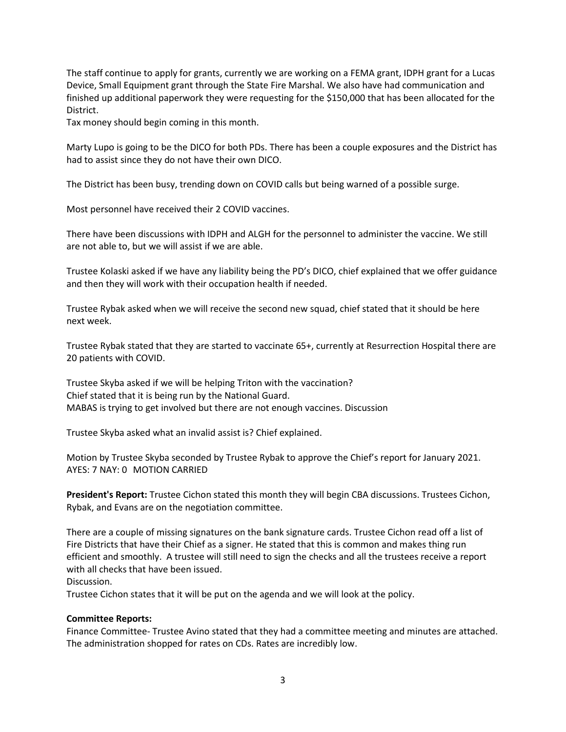The staff continue to apply for grants, currently we are working on a FEMA grant, IDPH grant for a Lucas Device, Small Equipment grant through the State Fire Marshal. We also have had communication and finished up additional paperwork they were requesting for the \$150,000 that has been allocated for the District.

Tax money should begin coming in this month.

Marty Lupo is going to be the DICO for both PDs. There has been a couple exposures and the District has had to assist since they do not have their own DICO.

The District has been busy, trending down on COVID calls but being warned of a possible surge.

Most personnel have received their 2 COVID vaccines.

There have been discussions with IDPH and ALGH for the personnel to administer the vaccine. We still are not able to, but we will assist if we are able.

Trustee Kolaski asked if we have any liability being the PD's DICO, chief explained that we offer guidance and then they will work with their occupation health if needed.

Trustee Rybak asked when we will receive the second new squad, chief stated that it should be here next week.

Trustee Rybak stated that they are started to vaccinate 65+, currently at Resurrection Hospital there are 20 patients with COVID.

Trustee Skyba asked if we will be helping Triton with the vaccination? Chief stated that it is being run by the National Guard. MABAS is trying to get involved but there are not enough vaccines. Discussion

Trustee Skyba asked what an invalid assist is? Chief explained.

Motion by Trustee Skyba seconded by Trustee Rybak to approve the Chief's report for January 2021. AYES: 7 NAY: 0 MOTION CARRIED

**President's Report:** Trustee Cichon stated this month they will begin CBA discussions. Trustees Cichon, Rybak, and Evans are on the negotiation committee.

There are a couple of missing signatures on the bank signature cards. Trustee Cichon read off a list of Fire Districts that have their Chief as a signer. He stated that this is common and makes thing run efficient and smoothly. A trustee will still need to sign the checks and all the trustees receive a report with all checks that have been issued.

#### Discussion.

Trustee Cichon states that it will be put on the agenda and we will look at the policy.

#### **Committee Reports:**

Finance Committee- Trustee Avino stated that they had a committee meeting and minutes are attached. The administration shopped for rates on CDs. Rates are incredibly low.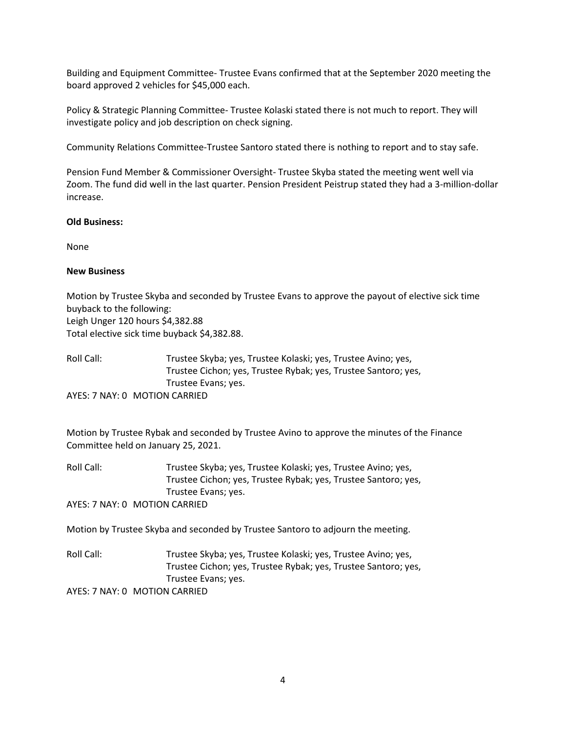Building and Equipment Committee- Trustee Evans confirmed that at the September 2020 meeting the board approved 2 vehicles for \$45,000 each.

Policy & Strategic Planning Committee- Trustee Kolaski stated there is not much to report. They will investigate policy and job description on check signing.

Community Relations Committee-Trustee Santoro stated there is nothing to report and to stay safe.

Pension Fund Member & Commissioner Oversight- Trustee Skyba stated the meeting went well via Zoom. The fund did well in the last quarter. Pension President Peistrup stated they had a 3-million-dollar increase.

### **Old Business:**

None

## **New Business**

Motion by Trustee Skyba and seconded by Trustee Evans to approve the payout of elective sick time buyback to the following: Leigh Unger 120 hours \$4,382.88 Total elective sick time buyback \$4,382.88.

Roll Call: Trustee Skyba; yes, Trustee Kolaski; yes, Trustee Avino; yes, Trustee Cichon; yes, Trustee Rybak; yes, Trustee Santoro; yes, Trustee Evans; yes.

AYES: 7 NAY: 0 MOTION CARRIED

Motion by Trustee Rybak and seconded by Trustee Avino to approve the minutes of the Finance Committee held on January 25, 2021.

Roll Call: Trustee Skyba; yes, Trustee Kolaski; yes, Trustee Avino; yes, Trustee Cichon; yes, Trustee Rybak; yes, Trustee Santoro; yes, Trustee Evans; yes.

AYES: 7 NAY: 0 MOTION CARRIED

Motion by Trustee Skyba and seconded by Trustee Santoro to adjourn the meeting.

Roll Call: Trustee Skyba; yes, Trustee Kolaski; yes, Trustee Avino; yes, Trustee Cichon; yes, Trustee Rybak; yes, Trustee Santoro; yes, Trustee Evans; yes.

AYES: 7 NAY: 0 MOTION CARRIED